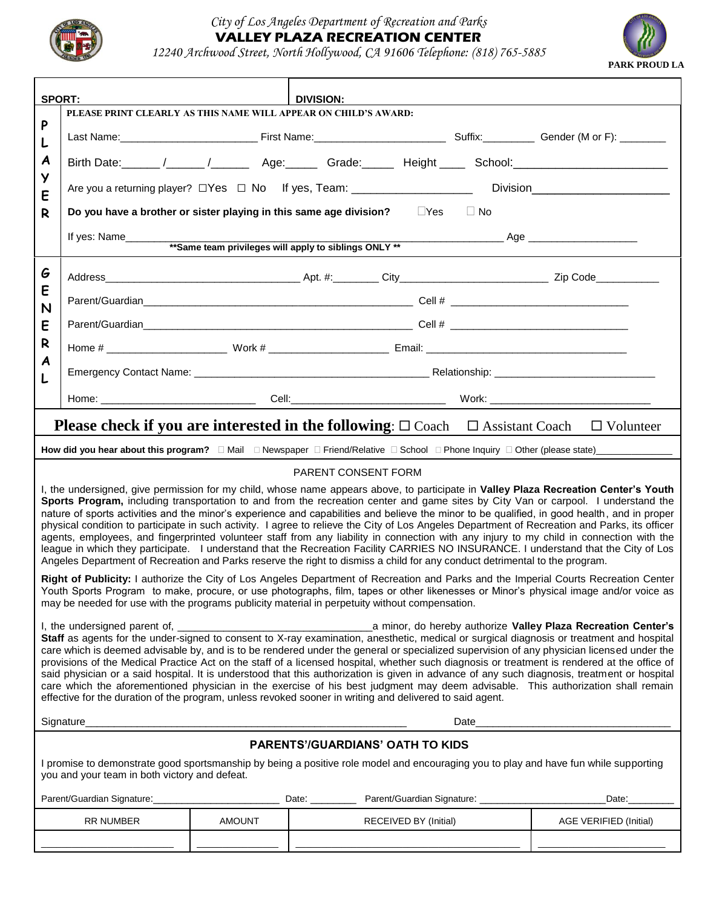

## *City of Los Angeles Department of Recreation and Parks* **VALLEY PLAZA RECREATION CENTER**

*12240 Archwood Street, North Hollywood, CA 91606 Telephone: (818) 765-5885*



| <b>SPORT:</b><br>DIVIS <u>ION: ___</u> _______<br>PLEASE PRINT CLEARLY AS THIS NAME WILL APPEAR ON CHILD'S AWARD:                                                                                                                                                                                                                                                                                                                                                                                                                                                                                                                                                                                                                                                                                                                                                                                                                                                                              |                                                                                                                       |                                                                                                                                                                                                                                |  |                       |  |                               |  |
|------------------------------------------------------------------------------------------------------------------------------------------------------------------------------------------------------------------------------------------------------------------------------------------------------------------------------------------------------------------------------------------------------------------------------------------------------------------------------------------------------------------------------------------------------------------------------------------------------------------------------------------------------------------------------------------------------------------------------------------------------------------------------------------------------------------------------------------------------------------------------------------------------------------------------------------------------------------------------------------------|-----------------------------------------------------------------------------------------------------------------------|--------------------------------------------------------------------------------------------------------------------------------------------------------------------------------------------------------------------------------|--|-----------------------|--|-------------------------------|--|
| P<br>L<br>A<br>У<br>E                                                                                                                                                                                                                                                                                                                                                                                                                                                                                                                                                                                                                                                                                                                                                                                                                                                                                                                                                                          |                                                                                                                       | Last Name: Cambridge Contract Contract Contract Contract Contract Contract Contract Contract Contract Contract Contract Contract Contract Contract Contract Contract Contract Contract Contract Contract Contract Contract Con |  |                       |  |                               |  |
|                                                                                                                                                                                                                                                                                                                                                                                                                                                                                                                                                                                                                                                                                                                                                                                                                                                                                                                                                                                                |                                                                                                                       |                                                                                                                                                                                                                                |  |                       |  |                               |  |
|                                                                                                                                                                                                                                                                                                                                                                                                                                                                                                                                                                                                                                                                                                                                                                                                                                                                                                                                                                                                | Are you a returning player? □ Yes □ No If yes, Team: __________________________<br>Division__________________________ |                                                                                                                                                                                                                                |  |                       |  |                               |  |
| R                                                                                                                                                                                                                                                                                                                                                                                                                                                                                                                                                                                                                                                                                                                                                                                                                                                                                                                                                                                              | Do you have a brother or sister playing in this same age division? $\Box$ Yes $\Box$ No                               |                                                                                                                                                                                                                                |  |                       |  |                               |  |
|                                                                                                                                                                                                                                                                                                                                                                                                                                                                                                                                                                                                                                                                                                                                                                                                                                                                                                                                                                                                |                                                                                                                       |                                                                                                                                                                                                                                |  |                       |  |                               |  |
|                                                                                                                                                                                                                                                                                                                                                                                                                                                                                                                                                                                                                                                                                                                                                                                                                                                                                                                                                                                                |                                                                                                                       |                                                                                                                                                                                                                                |  |                       |  |                               |  |
| G<br>E<br>N                                                                                                                                                                                                                                                                                                                                                                                                                                                                                                                                                                                                                                                                                                                                                                                                                                                                                                                                                                                    |                                                                                                                       |                                                                                                                                                                                                                                |  |                       |  |                               |  |
|                                                                                                                                                                                                                                                                                                                                                                                                                                                                                                                                                                                                                                                                                                                                                                                                                                                                                                                                                                                                |                                                                                                                       |                                                                                                                                                                                                                                |  |                       |  |                               |  |
| E                                                                                                                                                                                                                                                                                                                                                                                                                                                                                                                                                                                                                                                                                                                                                                                                                                                                                                                                                                                              |                                                                                                                       |                                                                                                                                                                                                                                |  |                       |  |                               |  |
| R<br>A                                                                                                                                                                                                                                                                                                                                                                                                                                                                                                                                                                                                                                                                                                                                                                                                                                                                                                                                                                                         |                                                                                                                       |                                                                                                                                                                                                                                |  |                       |  |                               |  |
|                                                                                                                                                                                                                                                                                                                                                                                                                                                                                                                                                                                                                                                                                                                                                                                                                                                                                                                                                                                                |                                                                                                                       |                                                                                                                                                                                                                                |  |                       |  |                               |  |
|                                                                                                                                                                                                                                                                                                                                                                                                                                                                                                                                                                                                                                                                                                                                                                                                                                                                                                                                                                                                |                                                                                                                       |                                                                                                                                                                                                                                |  |                       |  |                               |  |
| <b>Please check if you are interested in the following:</b> $\square$ Coach $\square$ Assistant Coach $\square$ Volunteer                                                                                                                                                                                                                                                                                                                                                                                                                                                                                                                                                                                                                                                                                                                                                                                                                                                                      |                                                                                                                       |                                                                                                                                                                                                                                |  |                       |  |                               |  |
|                                                                                                                                                                                                                                                                                                                                                                                                                                                                                                                                                                                                                                                                                                                                                                                                                                                                                                                                                                                                |                                                                                                                       |                                                                                                                                                                                                                                |  |                       |  |                               |  |
| <b>PARENT CONSENT FORM</b>                                                                                                                                                                                                                                                                                                                                                                                                                                                                                                                                                                                                                                                                                                                                                                                                                                                                                                                                                                     |                                                                                                                       |                                                                                                                                                                                                                                |  |                       |  |                               |  |
| I, the undersigned, give permission for my child, whose name appears above, to participate in Valley Plaza Recreation Center's Youth<br>Sports Program, including transportation to and from the recreation center and game sites by City Van or carpool. I understand the<br>nature of sports activities and the minor's experience and capabilities and believe the minor to be qualified, in good health, and in proper<br>physical condition to participate in such activity. I agree to relieve the City of Los Angeles Department of Recreation and Parks, its officer<br>agents, employees, and fingerprinted volunteer staff from any liability in connection with any injury to my child in connection with the<br>league in which they participate. I understand that the Recreation Facility CARRIES NO INSURANCE. I understand that the City of Los<br>Angeles Department of Recreation and Parks reserve the right to dismiss a child for any conduct detrimental to the program. |                                                                                                                       |                                                                                                                                                                                                                                |  |                       |  |                               |  |
| Right of Publicity: I authorize the City of Los Angeles Department of Recreation and Parks and the Imperial Courts Recreation Center<br>Youth Sports Program to make, procure, or use photographs, film, tapes or other likenesses or Minor's physical image and/or voice as<br>may be needed for use with the programs publicity material in perpetuity without compensation.                                                                                                                                                                                                                                                                                                                                                                                                                                                                                                                                                                                                                 |                                                                                                                       |                                                                                                                                                                                                                                |  |                       |  |                               |  |
| care which is deemed advisable by, and is to be rendered under the general or specialized supervision of any physician licensed under the<br>provisions of the Medical Practice Act on the staff of a licensed hospital, whether such diagnosis or treatment is rendered at the office of<br>said physician or a said hospital. It is understood that this authorization is given in advance of any such diagnosis, treatment or hospital<br>care which the aforementioned physician in the exercise of his best judgment may deem advisable. This authorization shall remain<br>effective for the duration of the program, unless revoked sooner in writing and delivered to said agent.                                                                                                                                                                                                                                                                                                      |                                                                                                                       |                                                                                                                                                                                                                                |  |                       |  |                               |  |
| Date                                                                                                                                                                                                                                                                                                                                                                                                                                                                                                                                                                                                                                                                                                                                                                                                                                                                                                                                                                                           |                                                                                                                       |                                                                                                                                                                                                                                |  |                       |  |                               |  |
| <b>PARENTS'/GUARDIANS' OATH TO KIDS</b>                                                                                                                                                                                                                                                                                                                                                                                                                                                                                                                                                                                                                                                                                                                                                                                                                                                                                                                                                        |                                                                                                                       |                                                                                                                                                                                                                                |  |                       |  |                               |  |
| I promise to demonstrate good sportsmanship by being a positive role model and encouraging you to play and have fun while supporting<br>you and your team in both victory and defeat.                                                                                                                                                                                                                                                                                                                                                                                                                                                                                                                                                                                                                                                                                                                                                                                                          |                                                                                                                       |                                                                                                                                                                                                                                |  |                       |  |                               |  |
|                                                                                                                                                                                                                                                                                                                                                                                                                                                                                                                                                                                                                                                                                                                                                                                                                                                                                                                                                                                                |                                                                                                                       |                                                                                                                                                                                                                                |  |                       |  | Date:                         |  |
|                                                                                                                                                                                                                                                                                                                                                                                                                                                                                                                                                                                                                                                                                                                                                                                                                                                                                                                                                                                                | RR NUMBER                                                                                                             | <b>AMOUNT</b>                                                                                                                                                                                                                  |  | RECEIVED BY (Initial) |  | <b>AGE VERIFIED (Initial)</b> |  |
|                                                                                                                                                                                                                                                                                                                                                                                                                                                                                                                                                                                                                                                                                                                                                                                                                                                                                                                                                                                                |                                                                                                                       |                                                                                                                                                                                                                                |  |                       |  |                               |  |